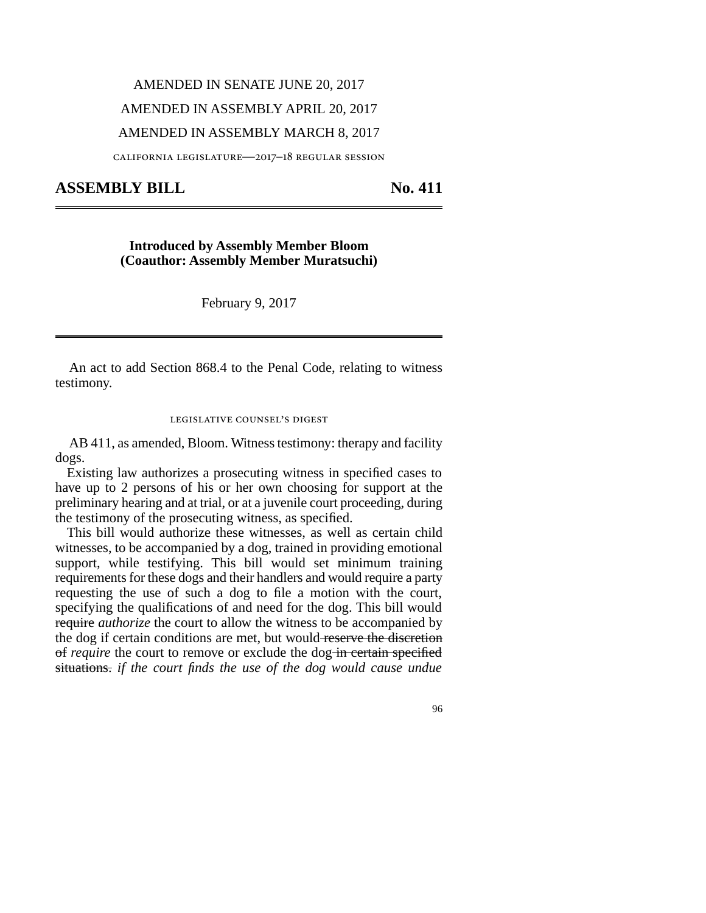# AMENDED IN SENATE JUNE 20, 2017 AMENDED IN ASSEMBLY APRIL 20, 2017 AMENDED IN ASSEMBLY MARCH 8, 2017

california legislature—2017–18 regular session

## **ASSEMBLY BILL No. 411**

### **Introduced by Assembly Member Bloom (Coauthor: Assembly Member Muratsuchi)**

February 9, 2017

An act to add Section 868.4 to the Penal Code, relating to witness testimony.

#### legislative counsel's digest

AB 411, as amended, Bloom. Witness testimony: therapy and facility dogs.

Existing law authorizes a prosecuting witness in specified cases to have up to 2 persons of his or her own choosing for support at the preliminary hearing and at trial, or at a juvenile court proceeding, during the testimony of the prosecuting witness, as specified.

This bill would authorize these witnesses, as well as certain child witnesses, to be accompanied by a dog, trained in providing emotional support, while testifying. This bill would set minimum training requirements for these dogs and their handlers and would require a party requesting the use of such a dog to file a motion with the court, specifying the qualifications of and need for the dog. This bill would require *authorize* the court to allow the witness to be accompanied by the dog if certain conditions are met, but would reserve the discretion of *require* the court to remove or exclude the dog-in certain specified situations. *if the court finds the use of the dog would cause undue*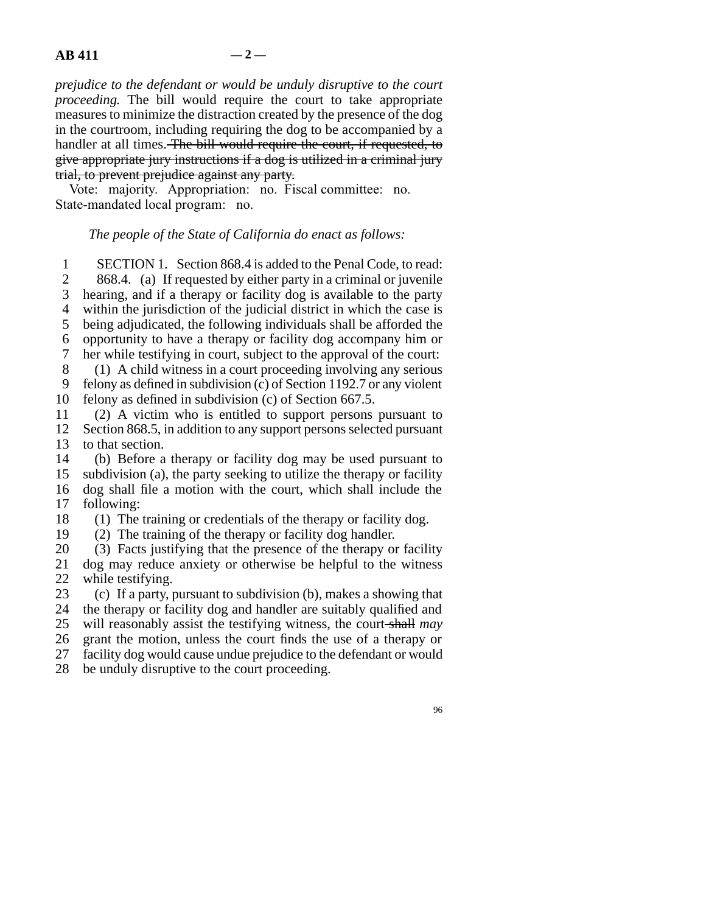*prejudice to the defendant or would be unduly disruptive to the court proceeding.* The bill would require the court to take appropriate measures to minimize the distraction created by the presence of the dog in the courtroom, including requiring the dog to be accompanied by a handler at all times. The bill would require the court, if requested, to give appropriate jury instructions if a dog is utilized in a criminal jury trial, to prevent prejudice against any party.

Vote: majority. Appropriation: no. Fiscal committee: no. State-mandated local program: no.

#### *The people of the State of California do enact as follows:*

1 SECTION 1. Section 868.4 is added to the Penal Code, to read:<br>2 868.4. (a) If requested by either party in a criminal or invenile

868.4. (a) If requested by either party in a criminal or juvenile 3 hearing, and if a therapy or facility dog is available to the party 4 within the jurisdiction of the judicial district in which the case is 5 being adjudicated, the following individuals shall be afforded the line 6 opportunity to have a therapy or facility dog accompany him or 7 her while testifying in court, subject to the approval of the court: 8 (1) A child witness in a court proceeding involving any serious

9 felony as defined in subdivision (c) of Section 1192.7 or any violent 10 felony as defined in subdivision (c) of Section  $667.5$ .

11 (2) A victim who is entitled to support persons pursuant to 12 Section 868.5, in addition to any support persons selected pursuant

13 to that section.<br>14 (b) Before a (b) Before a therapy or facility dog may be used pursuant to 15 subdivision (a), the party seeking to utilize the therapy or facility 16 dog shall file a motion with the court, which shall include the 17 following:

18  $\hspace{1.6cm}$  (1) The training or credentials of the therapy or facility dog.

19  $(2)$  The training of the therapy or facility dog handler.

20 (3) Facts justifying that the presence of the therapy or facility 21 dog may reduce anxiety or otherwise be helpful to the witness 22 while testifying.

23 (c) If a party, pursuant to subdivision (b), makes a showing that the therapy or facility dog and handler are suitably qualified and the therapy or facility dog and handler are suitably qualified and 25 will reasonably assist the testifying witness, the court shall may 26 grant the motion, unless the court finds the use of a therapy or 27 facility dog would cause undue prejudice to the defendant or would

28 be unduly disruptive to the court proceeding.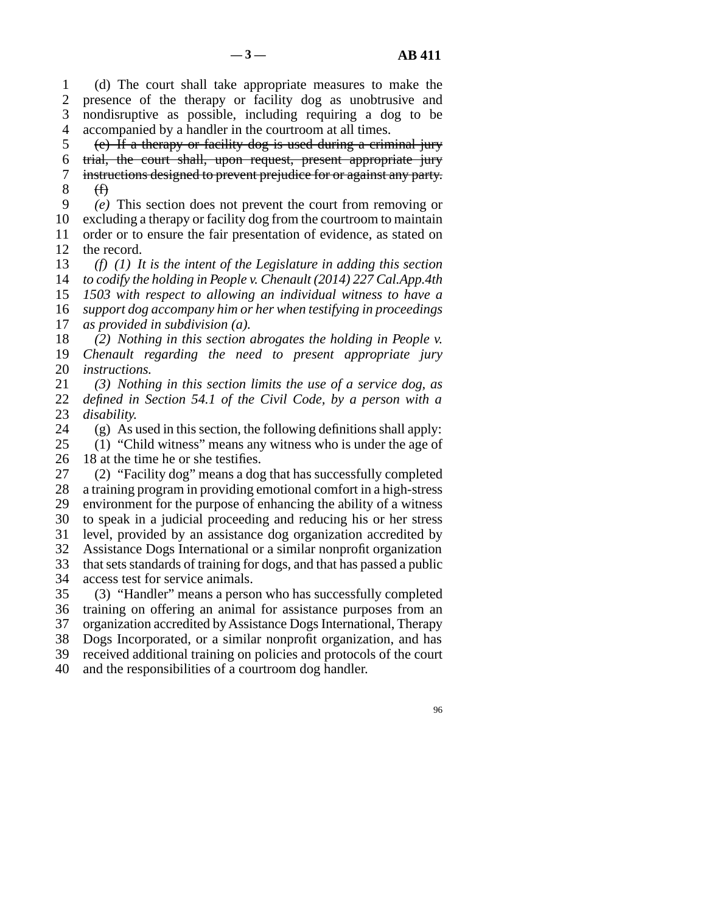line 1 (d) The court shall take appropriate measures to make the 2 presence of the therapy or facility dog as unobtrusive and 3 nondisruptive as possible, including requiring a dog to be 4 accompanied by a handler in the courtroom at all times.

 $\delta$  (e) If a therapy or facility dog is used during a criminal jury 6 trial, the court shall, upon request, present appropriate jury 7 instructions designed to prevent prejudice for or against any party.  $8 \quad \textcircled{f)}$ 

 line 9 *(e)* This section does not prevent the court from removing or 10 excluding a therapy or facility dog from the courtroom to maintain 11 order or to ensure the fair presentation of evidence, as stated on 12 the record.

*(f)* (1) It is the intent of the Legislature in adding this section *to codify the holding in People v. Chenault (2014) 227 Cal.App.4th 1503 with respect to allowing an individual witness to have a support dog accompany him or her when testifying in proceedings as provided in subdivision (a).* 

18 (2) Nothing in this section abrogates the holding in People v. 19 *Chenault regarding the need to present appropriate jury* 20 *instructions.* 

21 (3) Nothing in this section limits the use of a service dog, as 22 *defined in Section 54.1 of the Civil Code, by a person with a* 23 *disability.* 

24 (g) As used in this section, the following definitions shall apply:<br>25 (1) "Child witness" means any witness who is under the age of

 $\lambda$  "Child witness" means any witness who is under the age of 26 18 at the time he or she testifies.

27 (2) "Facility dog" means a dog that has successfully completed 28 a training program in providing emotional comfort in a high-stress 29 environment for the purpose of enhancing the ability of a witness 30 to speak in a judicial proceeding and reducing his or her stress 31 level, provided by an assistance dog organization accredited by 32 Assistance Dogs International or a similar nonprofit organization 33 that sets standards of training for dogs, and that has passed a public 34 access test for service animals.

35 (3) "Handler" means a person who has successfully completed 36 training on offering an animal for assistance purposes from an 37 organization accredited by Assistance Dogs International, Therapy 38 Dogs Incorporated, or a similar nonprofit organization, and has 39 received additional training on policies and protocols of the court 40 and the responsibilities of a courtroom dog handler.